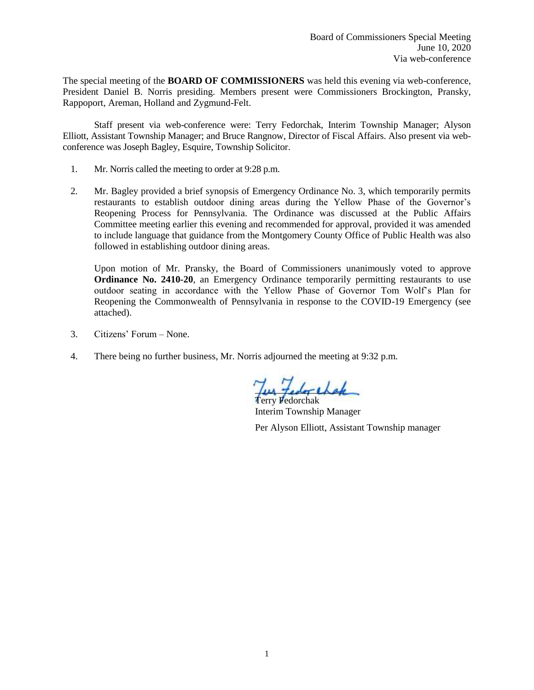The special meeting of the **BOARD OF COMMISSIONERS** was held this evening via web-conference, President Daniel B. Norris presiding. Members present were Commissioners Brockington, Pransky, Rappoport, Areman, Holland and Zygmund-Felt.

Staff present via web-conference were: Terry Fedorchak, Interim Township Manager; Alyson Elliott, Assistant Township Manager; and Bruce Rangnow, Director of Fiscal Affairs. Also present via webconference was Joseph Bagley, Esquire, Township Solicitor.

- 1. Mr. Norris called the meeting to order at 9:28 p.m.
- 2. Mr. Bagley provided a brief synopsis of Emergency Ordinance No. 3, which temporarily permits restaurants to establish outdoor dining areas during the Yellow Phase of the Governor's Reopening Process for Pennsylvania. The Ordinance was discussed at the Public Affairs Committee meeting earlier this evening and recommended for approval, provided it was amended to include language that guidance from the Montgomery County Office of Public Health was also followed in establishing outdoor dining areas.

Upon motion of Mr. Pransky, the Board of Commissioners unanimously voted to approve **Ordinance No. 2410-20**, an Emergency Ordinance temporarily permitting restaurants to use outdoor seating in accordance with the Yellow Phase of Governor Tom Wolf's Plan for Reopening the Commonwealth of Pennsylvania in response to the COVID-19 Emergency (see attached).

- 3. Citizens' Forum None.
- 4. There being no further business, Mr. Norris adjourned the meeting at 9:32 p.m.

Less tedor chap Terry Fedorchak

Interim Township Manager

Per Alyson Elliott, Assistant Township manager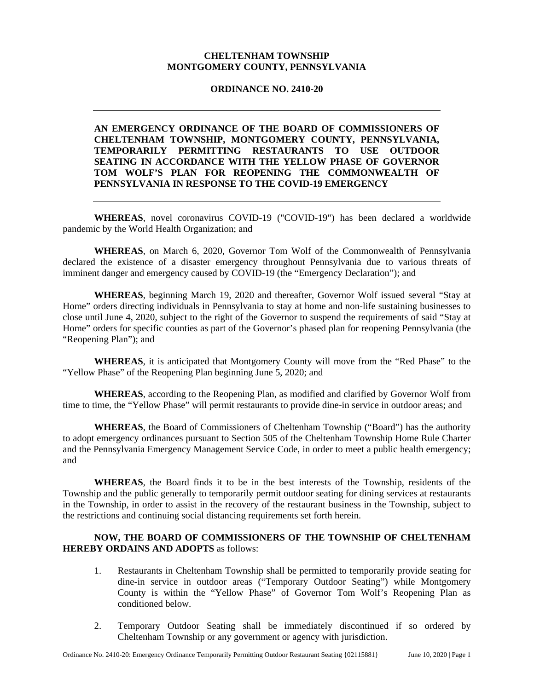## **CHELTENHAM TOWNSHIP MONTGOMERY COUNTY, PENNSYLVANIA**

## **ORDINANCE NO. 2410-20**

## **AN EMERGENCY ORDINANCE OF THE BOARD OF COMMISSIONERS OF CHELTENHAM TOWNSHIP, MONTGOMERY COUNTY, PENNSYLVANIA, TEMPORARILY PERMITTING RESTAURANTS TO USE OUTDOOR SEATING IN ACCORDANCE WITH THE YELLOW PHASE OF GOVERNOR TOM WOLF'S PLAN FOR REOPENING THE COMMONWEALTH OF PENNSYLVANIA IN RESPONSE TO THE COVID-19 EMERGENCY**

**WHEREAS**, novel coronavirus COVID-19 ("COVID-19") has been declared a worldwide pandemic by the World Health Organization; and

**WHEREAS**, on March 6, 2020, Governor Tom Wolf of the Commonwealth of Pennsylvania declared the existence of a disaster emergency throughout Pennsylvania due to various threats of imminent danger and emergency caused by COVID-19 (the "Emergency Declaration"); and

**WHEREAS**, beginning March 19, 2020 and thereafter, Governor Wolf issued several "Stay at Home" orders directing individuals in Pennsylvania to stay at home and non-life sustaining businesses to close until June 4, 2020, subject to the right of the Governor to suspend the requirements of said "Stay at Home" orders for specific counties as part of the Governor's phased plan for reopening Pennsylvania (the "Reopening Plan"); and

**WHEREAS**, it is anticipated that Montgomery County will move from the "Red Phase" to the "Yellow Phase" of the Reopening Plan beginning June 5, 2020; and

**WHEREAS**, according to the Reopening Plan, as modified and clarified by Governor Wolf from time to time, the "Yellow Phase" will permit restaurants to provide dine-in service in outdoor areas; and

**WHEREAS**, the Board of Commissioners of Cheltenham Township ("Board") has the authority to adopt emergency ordinances pursuant to Section 505 of the Cheltenham Township Home Rule Charter and the Pennsylvania Emergency Management Service Code, in order to meet a public health emergency; and

**WHEREAS**, the Board finds it to be in the best interests of the Township, residents of the Township and the public generally to temporarily permit outdoor seating for dining services at restaurants in the Township, in order to assist in the recovery of the restaurant business in the Township, subject to the restrictions and continuing social distancing requirements set forth herein.

## **NOW, THE BOARD OF COMMISSIONERS OF THE TOWNSHIP OF CHELTENHAM HEREBY ORDAINS AND ADOPTS** as follows:

- 1. Restaurants in Cheltenham Township shall be permitted to temporarily provide seating for dine-in service in outdoor areas ("Temporary Outdoor Seating") while Montgomery County is within the "Yellow Phase" of Governor Tom Wolf's Reopening Plan as conditioned below.
- 2. Temporary Outdoor Seating shall be immediately discontinued if so ordered by Cheltenham Township or any government or agency with jurisdiction.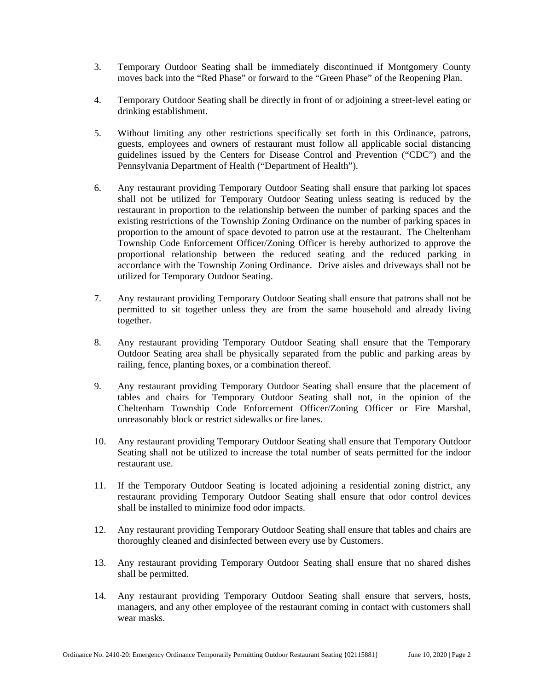- 3. Temporary Outdoor Seating shall be immediately discontinued if Montgomery County moves back into the "Red Phase" or forward to the "Green Phase" of the Reopening Plan.
- 4. Temporary Outdoor Seating shall be directly in front of or adjoining a street-level eating or drinking establishment.
- 5. Without limiting any other restrictions specifically set forth in this Ordinance, patrons, guests, employees and owners of restaurant must follow all applicable social distancing guidelines issued by the Centers for Disease Control and Prevention ("CDC") and the Pennsylvania Department of Health ("Department of Health").
- 6. Any restaurant providing Temporary Outdoor Seating shall ensure that parking lot spaces shall not be utilized for Temporary Outdoor Seating unless seating is reduced by the restaurant in proportion to the relationship between the number of parking spaces and the existing restrictions of the Township Zoning Ordinance on the number of parking spaces in proportion to the amount of space devoted to patron use at the restaurant. The Cheltenham Township Code Enforcement Officer/Zoning Officer is hereby authorized to approve the proportional relationship between the reduced seating and the reduced parking in accordance with the Township Zoning Ordinance. Drive aisles and driveways shall not be utilized for Temporary Outdoor Seating.
- 7. Any restaurant providing Temporary Outdoor Seating shall ensure that patrons shall not be permitted to sit together unless they are from the same household and already living together.
- 8. Any restaurant providing Temporary Outdoor Seating shall ensure that the Temporary Outdoor Seating area shall be physically separated from the public and parking areas by railing, fence, planting boxes, or a combination thereof.
- 9. Any restaurant providing Temporary Outdoor Seating shall ensure that the placement of tables and chairs for Temporary Outdoor Seating shall not, in the opinion of the Cheltenham Township Code Enforcement Officer/Zoning Officer or Fire Marshal, unreasonably block or restrict sidewalks or fire lanes.
- 10. Any restaurant providing Temporary Outdoor Seating shall ensure that Temporary Outdoor Seating shall not be utilized to increase the total number of seats permitted for the indoor restaurant use.
- 11. If the Temporary Outdoor Seating is located adjoining a residential zoning district, any restaurant providing Temporary Outdoor Seating shall ensure that odor control devices shall be installed to minimize food odor impacts.
- 12. Any restaurant providing Temporary Outdoor Seating shall ensure that tables and chairs are thoroughly cleaned and disinfected between every use by Customers.
- 13. Any restaurant providing Temporary Outdoor Seating shall ensure that no shared dishes shall be permitted.
- 14. Any restaurant providing Temporary Outdoor Seating shall ensure that servers, hosts, managers, and any other employee of the restaurant coming in contact with customers shall wear masks.